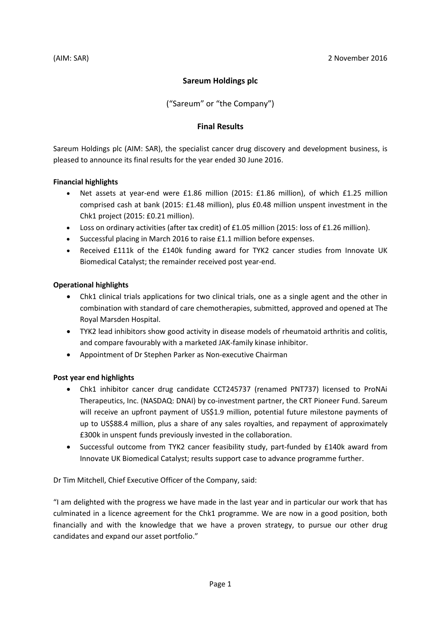## **Sareum Holdings plc**

("Sareum" or "the Company")

## **Final Results**

Sareum Holdings plc (AIM: SAR), the specialist cancer drug discovery and development business, is pleased to announce its final results for the year ended 30 June 2016.

### **Financial highlights**

- Net assets at year-end were £1.86 million (2015: £1.86 million), of which £1.25 million comprised cash at bank (2015: £1.48 million), plus £0.48 million unspent investment in the Chk1 project (2015: £0.21 million).
- Loss on ordinary activities (after tax credit) of £1.05 million (2015: loss of £1.26 million).
- Successful placing in March 2016 to raise £1.1 million before expenses.
- Received £111k of the £140k funding award for TYK2 cancer studies from Innovate UK Biomedical Catalyst; the remainder received post year-end.

### **Operational highlights**

- Chk1 clinical trials applications for two clinical trials, one as a single agent and the other in combination with standard of care chemotherapies, submitted, approved and opened at The Royal Marsden Hospital.
- TYK2 lead inhibitors show good activity in disease models of rheumatoid arthritis and colitis, and compare favourably with a marketed JAK-family kinase inhibitor.
- Appointment of Dr Stephen Parker as Non-executive Chairman

## **Post year end highlights**

- Chk1 inhibitor cancer drug candidate CCT245737 (renamed PNT737) licensed to ProNAi Therapeutics, Inc. (NASDAQ: DNAI) by co-investment partner, the CRT Pioneer Fund. Sareum will receive an upfront payment of US\$1.9 million, potential future milestone payments of up to US\$88.4 million, plus a share of any sales royalties, and repayment of approximately £300k in unspent funds previously invested in the collaboration.
- Successful outcome from TYK2 cancer feasibility study, part-funded by £140k award from Innovate UK Biomedical Catalyst; results support case to advance programme further.

Dr Tim Mitchell, Chief Executive Officer of the Company, said:

"I am delighted with the progress we have made in the last year and in particular our work that has culminated in a licence agreement for the Chk1 programme. We are now in a good position, both financially and with the knowledge that we have a proven strategy, to pursue our other drug candidates and expand our asset portfolio."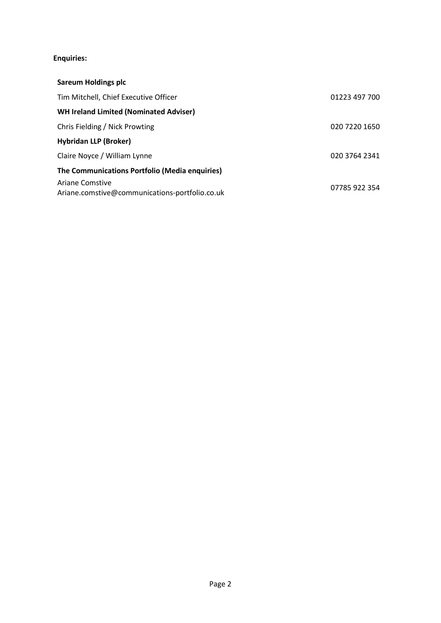# **Enquiries:**

| <b>Sareum Holdings plc</b>                                        |               |
|-------------------------------------------------------------------|---------------|
| Tim Mitchell, Chief Executive Officer                             | 01223 497 700 |
| <b>WH Ireland Limited (Nominated Adviser)</b>                     |               |
| Chris Fielding / Nick Prowting                                    | 020 7220 1650 |
| <b>Hybridan LLP (Broker)</b>                                      |               |
| Claire Noyce / William Lynne                                      | 020 3764 2341 |
| The Communications Portfolio (Media enquiries)                    |               |
| Ariane Comstive<br>Ariane.comstive@communications-portfolio.co.uk | 07785 922 354 |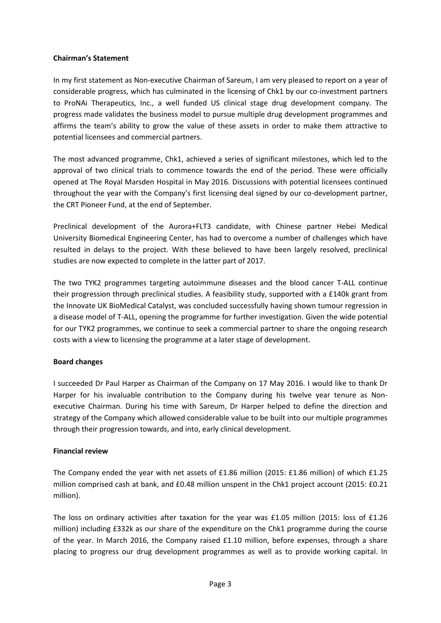### **Chairman's Statement**

In my first statement as Non-executive Chairman of Sareum, I am very pleased to report on a year of considerable progress, which has culminated in the licensing of Chk1 by our co-investment partners to ProNAi Therapeutics, Inc., a well funded US clinical stage drug development company. The progress made validates the business model to pursue multiple drug development programmes and affirms the team's ability to grow the value of these assets in order to make them attractive to potential licensees and commercial partners.

The most advanced programme, Chk1, achieved a series of significant milestones, which led to the approval of two clinical trials to commence towards the end of the period. These were officially opened at The Royal Marsden Hospital in May 2016. Discussions with potential licensees continued throughout the year with the Company's first licensing deal signed by our co-development partner, the CRT Pioneer Fund, at the end of September.

Preclinical development of the Aurora+FLT3 candidate, with Chinese partner Hebei Medical University Biomedical Engineering Center, has had to overcome a number of challenges which have resulted in delays to the project. With these believed to have been largely resolved, preclinical studies are now expected to complete in the latter part of 2017.

The two TYK2 programmes targeting autoimmune diseases and the blood cancer T-ALL continue their progression through preclinical studies. A feasibility study, supported with a £140k grant from the Innovate UK BioMedical Catalyst, was concluded successfully having shown tumour regression in a disease model of T-ALL, opening the programme for further investigation. Given the wide potential for our TYK2 programmes, we continue to seek a commercial partner to share the ongoing research costs with a view to licensing the programme at a later stage of development.

## **Board changes**

I succeeded Dr Paul Harper as Chairman of the Company on 17 May 2016. I would like to thank Dr Harper for his invaluable contribution to the Company during his twelve year tenure as Nonexecutive Chairman. During his time with Sareum, Dr Harper helped to define the direction and strategy of the Company which allowed considerable value to be built into our multiple programmes through their progression towards, and into, early clinical development.

## **Financial review**

The Company ended the year with net assets of £1.86 million (2015: £1.86 million) of which £1.25 million comprised cash at bank, and £0.48 million unspent in the Chk1 project account (2015: £0.21 million).

The loss on ordinary activities after taxation for the year was £1.05 million (2015: loss of £1.26 million) including £332k as our share of the expenditure on the Chk1 programme during the course of the year. In March 2016, the Company raised £1.10 million, before expenses, through a share placing to progress our drug development programmes as well as to provide working capital. In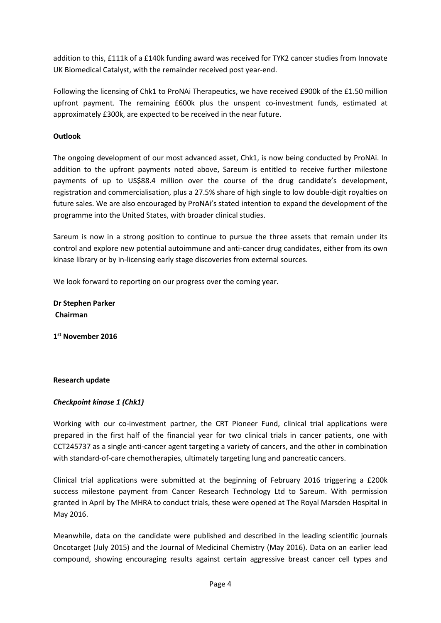addition to this, £111k of a £140k funding award was received for TYK2 cancer studies from Innovate UK Biomedical Catalyst, with the remainder received post year-end.

Following the licensing of Chk1 to ProNAi Therapeutics, we have received £900k of the £1.50 million upfront payment. The remaining £600k plus the unspent co-investment funds, estimated at approximately £300k, are expected to be received in the near future.

## **Outlook**

The ongoing development of our most advanced asset, Chk1, is now being conducted by ProNAi. In addition to the upfront payments noted above, Sareum is entitled to receive further milestone payments of up to US\$88.4 million over the course of the drug candidate's development, registration and commercialisation, plus a 27.5% share of high single to low double-digit royalties on future sales. We are also encouraged by ProNAi's stated intention to expand the development of the programme into the United States, with broader clinical studies.

Sareum is now in a strong position to continue to pursue the three assets that remain under its control and explore new potential autoimmune and anti-cancer drug candidates, either from its own kinase library or by in-licensing early stage discoveries from external sources.

We look forward to reporting on our progress over the coming year.

**Dr Stephen Parker Chairman**

**1 st November 2016**

## **Research update**

## *Checkpoint kinase 1 (Chk1)*

Working with our co-investment partner, the CRT Pioneer Fund, clinical trial applications were prepared in the first half of the financial year for two clinical trials in cancer patients, one with CCT245737 as a single anti-cancer agent targeting a variety of cancers, and the other in combination with standard-of-care chemotherapies, ultimately targeting lung and pancreatic cancers.

Clinical trial applications were submitted at the beginning of February 2016 triggering a £200k success milestone payment from Cancer Research Technology Ltd to Sareum. With permission granted in April by The MHRA to conduct trials, these were opened at The Royal Marsden Hospital in May 2016.

Meanwhile, data on the candidate were published and described in the leading scientific journals Oncotarget (July 2015) and the Journal of Medicinal Chemistry (May 2016). Data on an earlier lead compound, showing encouraging results against certain aggressive breast cancer cell types and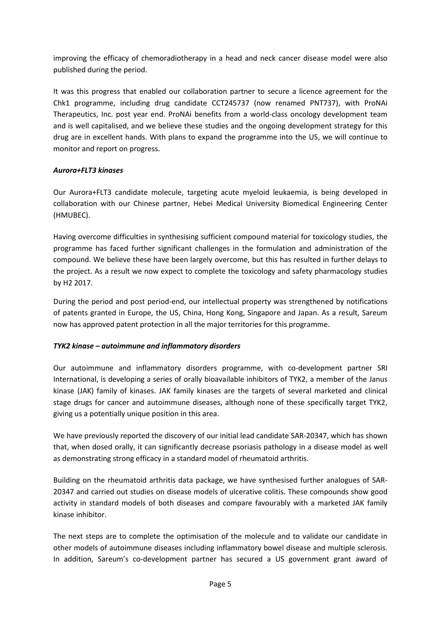improving the efficacy of chemoradiotherapy in a head and neck cancer disease model were also published during the period.

It was this progress that enabled our collaboration partner to secure a licence agreement for the Chk1 programme, including drug candidate CCT245737 (now renamed PNT737), with ProNAi Therapeutics, Inc. post year end. ProNAi benefits from a world-class oncology development team and is well capitalised, and we believe these studies and the ongoing development strategy for this drug are in excellent hands. With plans to expand the programme into the US, we will continue to monitor and report on progress.

## *Aurora+FLT3 kinases*

Our Aurora+FLT3 candidate molecule, targeting acute myeloid leukaemia, is being developed in collaboration with our Chinese partner, Hebei Medical University Biomedical Engineering Center (HMUBEC).

Having overcome difficulties in synthesising sufficient compound material for toxicology studies, the programme has faced further significant challenges in the formulation and administration of the compound. We believe these have been largely overcome, but this has resulted in further delays to the project. As a result we now expect to complete the toxicology and safety pharmacology studies by H2 2017.

During the period and post period-end, our intellectual property was strengthened by notifications of patents granted in Europe, the US, China, Hong Kong, Singapore and Japan. As a result, Sareum now has approved patent protection in all the major territories for this programme.

## *TYK2 kinase – autoimmune and inflammatory disorders*

Our autoimmune and inflammatory disorders programme, with co-development partner SRI International, is developing a series of orally bioavailable inhibitors of TYK2, a member of the Janus kinase (JAK) family of kinases. JAK family kinases are the targets of several marketed and clinical stage drugs for cancer and autoimmune diseases, although none of these specifically target TYK2, giving us a potentially unique position in this area.

We have previously reported the discovery of our initial lead candidate SAR-20347, which has shown that, when dosed orally, it can significantly decrease psoriasis pathology in a disease model as well as demonstrating strong efficacy in a standard model of rheumatoid arthritis.

Building on the rheumatoid arthritis data package, we have synthesised further analogues of SAR-20347 and carried out studies on disease models of ulcerative colitis. These compounds show good activity in standard models of both diseases and compare favourably with a marketed JAK family kinase inhibitor.

The next steps are to complete the optimisation of the molecule and to validate our candidate in other models of autoimmune diseases including inflammatory bowel disease and multiple sclerosis. In addition, Sareum's co-development partner has secured a US government grant award of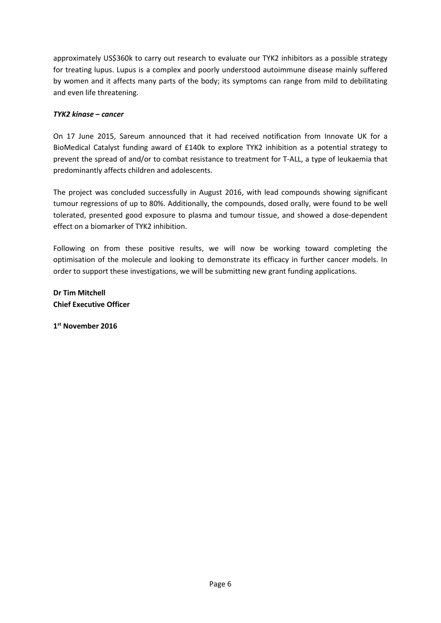approximately US\$360k to carry out research to evaluate our TYK2 inhibitors as a possible strategy for treating lupus. Lupus is a complex and poorly understood autoimmune disease mainly suffered by women and it affects many parts of the body; its symptoms can range from mild to debilitating and even life threatening.

## *TYK2 kinase – cancer*

On 17 June 2015, Sareum announced that it had received notification from Innovate UK for a BioMedical Catalyst funding award of £140k to explore TYK2 inhibition as a potential strategy to prevent the spread of and/or to combat resistance to treatment for T-ALL, a type of leukaemia that predominantly affects children and adolescents.

The project was concluded successfully in August 2016, with lead compounds showing significant tumour regressions of up to 80%. Additionally, the compounds, dosed orally, were found to be well tolerated, presented good exposure to plasma and tumour tissue, and showed a dose-dependent effect on a biomarker of TYK2 inhibition.

Following on from these positive results, we will now be working toward completing the optimisation of the molecule and looking to demonstrate its efficacy in further cancer models. In order to support these investigations, we will be submitting new grant funding applications.

**Dr Tim Mitchell Chief Executive Officer**

**1 st November 2016**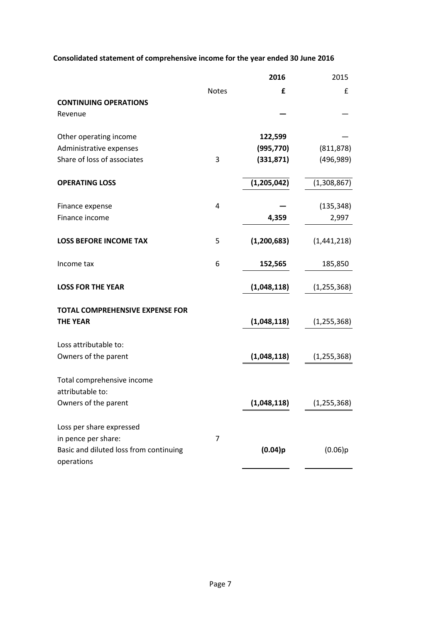# **Consolidated statement of comprehensive income for the year ended 30 June 2016**

|                                                      |                | 2016          | 2015          |
|------------------------------------------------------|----------------|---------------|---------------|
|                                                      | <b>Notes</b>   | £             | £             |
| <b>CONTINUING OPERATIONS</b>                         |                |               |               |
| Revenue                                              |                |               |               |
| Other operating income                               |                | 122,599       |               |
| Administrative expenses                              |                | (995, 770)    | (811, 878)    |
| Share of loss of associates                          | 3              | (331, 871)    | (496, 989)    |
| <b>OPERATING LOSS</b>                                |                | (1,205,042)   | (1,308,867)   |
| Finance expense                                      | $\overline{4}$ |               | (135, 348)    |
| Finance income                                       |                | 4,359         | 2,997         |
| <b>LOSS BEFORE INCOME TAX</b>                        | 5              | (1, 200, 683) | (1,441,218)   |
| Income tax                                           | 6              | 152,565       | 185,850       |
| <b>LOSS FOR THE YEAR</b>                             |                | (1,048,118)   | (1, 255, 368) |
| <b>TOTAL COMPREHENSIVE EXPENSE FOR</b>               |                |               |               |
| <b>THE YEAR</b>                                      |                | (1,048,118)   | (1, 255, 368) |
| Loss attributable to:                                |                |               |               |
| Owners of the parent                                 |                | (1,048,118)   | (1, 255, 368) |
| Total comprehensive income                           |                |               |               |
| attributable to:                                     |                |               |               |
| Owners of the parent                                 |                | (1,048,118)   | (1, 255, 368) |
| Loss per share expressed                             |                |               |               |
| in pence per share:                                  | $\overline{7}$ |               |               |
| Basic and diluted loss from continuing<br>operations |                | (0.04)p       | (0.06)p       |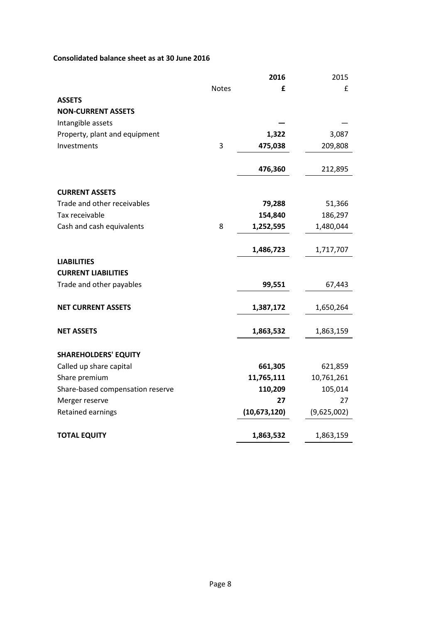# **Consolidated balance sheet as at 30 June 2016**

|                                  |              | 2016         | 2015        |
|----------------------------------|--------------|--------------|-------------|
|                                  | <b>Notes</b> | £            | £           |
| <b>ASSETS</b>                    |              |              |             |
| <b>NON-CURRENT ASSETS</b>        |              |              |             |
| Intangible assets                |              |              |             |
| Property, plant and equipment    |              | 1,322        | 3,087       |
| Investments                      | 3            | 475,038      | 209,808     |
|                                  |              | 476,360      | 212,895     |
| <b>CURRENT ASSETS</b>            |              |              |             |
| Trade and other receivables      |              | 79,288       | 51,366      |
| Tax receivable                   |              | 154,840      | 186,297     |
| Cash and cash equivalents        | 8            | 1,252,595    | 1,480,044   |
|                                  |              | 1,486,723    | 1,717,707   |
| <b>LIABILITIES</b>               |              |              |             |
| <b>CURRENT LIABILITIES</b>       |              |              |             |
| Trade and other payables         |              | 99,551       | 67,443      |
| <b>NET CURRENT ASSETS</b>        |              | 1,387,172    | 1,650,264   |
| <b>NET ASSETS</b>                |              | 1,863,532    | 1,863,159   |
| <b>SHAREHOLDERS' EQUITY</b>      |              |              |             |
| Called up share capital          |              | 661,305      | 621,859     |
| Share premium                    |              | 11,765,111   | 10,761,261  |
| Share-based compensation reserve |              | 110,209      | 105,014     |
| Merger reserve                   |              | 27           | 27          |
| Retained earnings                |              | (10,673,120) | (9,625,002) |
| <b>TOTAL EQUITY</b>              |              | 1,863,532    | 1,863,159   |
|                                  |              |              |             |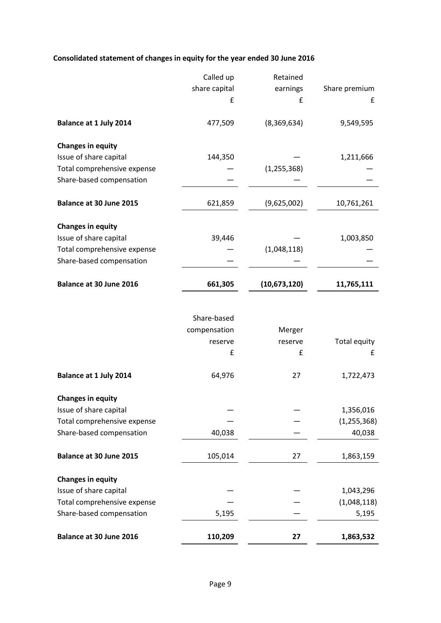# **Consolidated statement of changes in equity for the year ended 30 June 2016**

|                               | Called up     | Retained      |                     |
|-------------------------------|---------------|---------------|---------------------|
|                               | share capital | earnings      | Share premium       |
|                               | £             | £             | £                   |
| <b>Balance at 1 July 2014</b> | 477,509       | (8,369,634)   | 9,549,595           |
| <b>Changes in equity</b>      |               |               |                     |
| Issue of share capital        | 144,350       |               | 1,211,666           |
| Total comprehensive expense   |               | (1, 255, 368) |                     |
| Share-based compensation      |               |               |                     |
| Balance at 30 June 2015       | 621,859       | (9,625,002)   | 10,761,261          |
| <b>Changes in equity</b>      |               |               |                     |
| Issue of share capital        | 39,446        |               | 1,003,850           |
| Total comprehensive expense   |               | (1,048,118)   |                     |
| Share-based compensation      |               |               |                     |
| Balance at 30 June 2016       | 661,305       | (10,673,120)  | 11,765,111          |
|                               |               |               |                     |
|                               | Share-based   |               |                     |
|                               | compensation  | Merger        |                     |
|                               | reserve       | reserve       | <b>Total equity</b> |
|                               | £             | £             | £                   |
| <b>Balance at 1 July 2014</b> | 64,976        | 27            | 1,722,473           |
| <b>Changes in equity</b>      |               |               |                     |
| Issue of share capital        |               |               | 1,356,016           |
| Total comprehensive expense   |               |               | (1, 255, 368)       |
| Share-based compensation      | 40,038        |               | 40,038              |
| Balance at 30 June 2015       | 105,014       | 27            | 1,863,159           |
| <b>Changes in equity</b>      |               |               |                     |
| Issue of share capital        |               |               | 1,043,296           |
| Total comprehensive expense   |               |               | (1,048,118)         |
| Share-based compensation      | 5,195         |               | 5,195               |
| Balance at 30 June 2016       | 110,209       | 27            | 1,863,532           |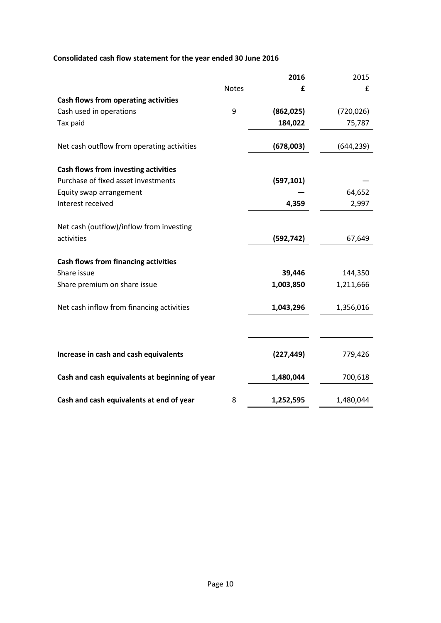# **Consolidated cash flow statement for the year ended 30 June 2016**

|                                                            |              | 2016       | 2015       |
|------------------------------------------------------------|--------------|------------|------------|
|                                                            | <b>Notes</b> | £          | £          |
| Cash flows from operating activities                       |              |            |            |
| Cash used in operations                                    | 9            | (862, 025) | (720, 026) |
| Tax paid                                                   |              | 184,022    | 75,787     |
| Net cash outflow from operating activities                 |              | (678,003)  | (644, 239) |
| Cash flows from investing activities                       |              |            |            |
| Purchase of fixed asset investments                        |              | (597, 101) |            |
| Equity swap arrangement                                    |              |            | 64,652     |
| Interest received                                          |              | 4,359      | 2,997      |
| Net cash (outflow)/inflow from investing                   |              |            |            |
| activities                                                 |              | (592, 742) | 67,649     |
|                                                            |              |            |            |
| <b>Cash flows from financing activities</b><br>Share issue |              | 39,446     | 144,350    |
| Share premium on share issue                               |              | 1,003,850  | 1,211,666  |
|                                                            |              |            |            |
| Net cash inflow from financing activities                  |              | 1,043,296  | 1,356,016  |
|                                                            |              |            |            |
|                                                            |              |            |            |
| Increase in cash and cash equivalents                      |              | (227, 449) | 779,426    |
| Cash and cash equivalents at beginning of year             |              | 1,480,044  | 700,618    |
| Cash and cash equivalents at end of year                   | 8            | 1,252,595  | 1,480,044  |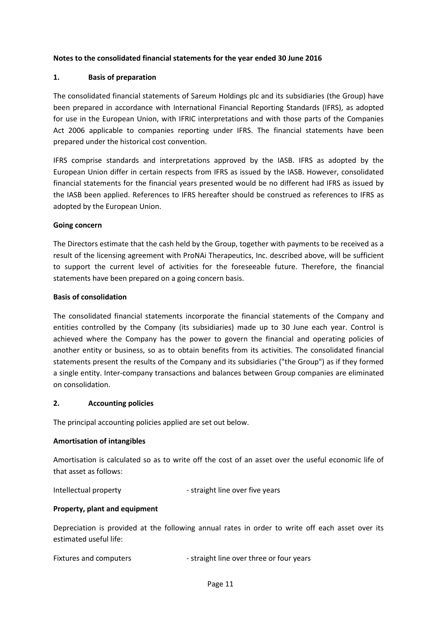## **Notes to the consolidated financial statements for the year ended 30 June 2016**

#### **1. Basis of preparation**

The consolidated financial statements of Sareum Holdings plc and its subsidiaries (the Group) have been prepared in accordance with International Financial Reporting Standards (IFRS), as adopted for use in the European Union, with IFRIC interpretations and with those parts of the Companies Act 2006 applicable to companies reporting under IFRS. The financial statements have been prepared under the historical cost convention.

IFRS comprise standards and interpretations approved by the IASB. IFRS as adopted by the European Union differ in certain respects from IFRS as issued by the IASB. However, consolidated financial statements for the financial years presented would be no different had IFRS as issued by the IASB been applied. References to IFRS hereafter should be construed as references to IFRS as adopted by the European Union.

#### **Going concern**

The Directors estimate that the cash held by the Group, together with payments to be received as a result of the licensing agreement with ProNAi Therapeutics, Inc. described above, will be sufficient to support the current level of activities for the foreseeable future. Therefore, the financial statements have been prepared on a going concern basis.

#### **Basis of consolidation**

The consolidated financial statements incorporate the financial statements of the Company and entities controlled by the Company (its subsidiaries) made up to 30 June each year. Control is achieved where the Company has the power to govern the financial and operating policies of another entity or business, so as to obtain benefits from its activities. The consolidated financial statements present the results of the Company and its subsidiaries ("the Group") as if they formed a single entity. Inter-company transactions and balances between Group companies are eliminated on consolidation.

#### **2. Accounting policies**

The principal accounting policies applied are set out below.

#### **Amortisation of intangibles**

Amortisation is calculated so as to write off the cost of an asset over the useful economic life of that asset as follows:

Intellectual property and the straight line over five years

#### **Property, plant and equipment**

Depreciation is provided at the following annual rates in order to write off each asset over its estimated useful life:

Fixtures and computers - straight line over three or four years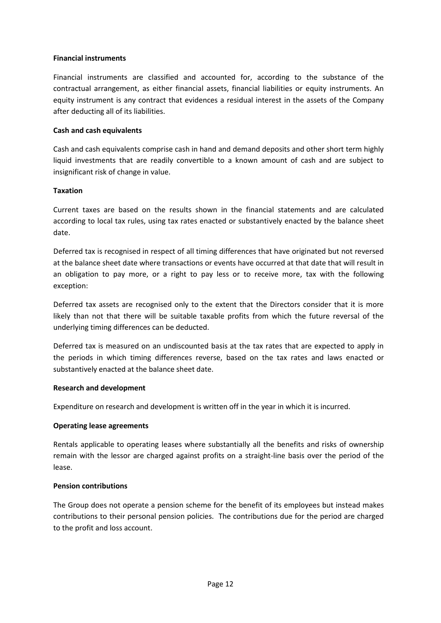### **Financial instruments**

Financial instruments are classified and accounted for, according to the substance of the contractual arrangement, as either financial assets, financial liabilities or equity instruments. An equity instrument is any contract that evidences a residual interest in the assets of the Company after deducting all of its liabilities.

### **Cash and cash equivalents**

Cash and cash equivalents comprise cash in hand and demand deposits and other short term highly liquid investments that are readily convertible to a known amount of cash and are subject to insignificant risk of change in value.

### **Taxation**

Current taxes are based on the results shown in the financial statements and are calculated according to local tax rules, using tax rates enacted or substantively enacted by the balance sheet date.

Deferred tax is recognised in respect of all timing differences that have originated but not reversed at the balance sheet date where transactions or events have occurred at that date that will result in an obligation to pay more, or a right to pay less or to receive more, tax with the following exception:

Deferred tax assets are recognised only to the extent that the Directors consider that it is more likely than not that there will be suitable taxable profits from which the future reversal of the underlying timing differences can be deducted.

Deferred tax is measured on an undiscounted basis at the tax rates that are expected to apply in the periods in which timing differences reverse, based on the tax rates and laws enacted or substantively enacted at the balance sheet date.

#### **Research and development**

Expenditure on research and development is written off in the year in which it is incurred.

#### **Operating lease agreements**

Rentals applicable to operating leases where substantially all the benefits and risks of ownership remain with the lessor are charged against profits on a straight-line basis over the period of the lease.

#### **Pension contributions**

The Group does not operate a pension scheme for the benefit of its employees but instead makes contributions to their personal pension policies. The contributions due for the period are charged to the profit and loss account.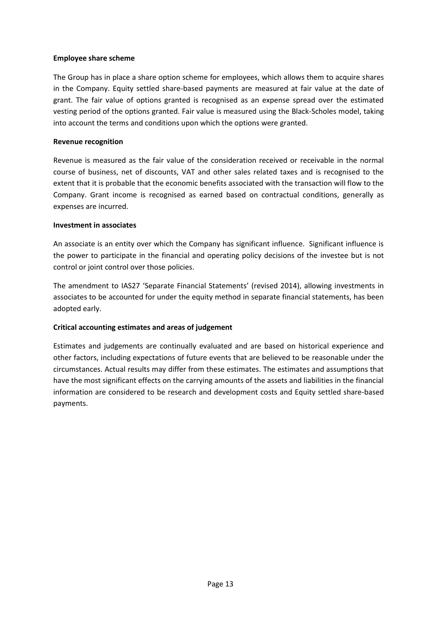### **Employee share scheme**

The Group has in place a share option scheme for employees, which allows them to acquire shares in the Company. Equity settled share-based payments are measured at fair value at the date of grant. The fair value of options granted is recognised as an expense spread over the estimated vesting period of the options granted. Fair value is measured using the Black-Scholes model, taking into account the terms and conditions upon which the options were granted.

## **Revenue recognition**

Revenue is measured as the fair value of the consideration received or receivable in the normal course of business, net of discounts, VAT and other sales related taxes and is recognised to the extent that it is probable that the economic benefits associated with the transaction will flow to the Company. Grant income is recognised as earned based on contractual conditions, generally as expenses are incurred.

#### **Investment in associates**

An associate is an entity over which the Company has significant influence. Significant influence is the power to participate in the financial and operating policy decisions of the investee but is not control or joint control over those policies.

The amendment to IAS27 'Separate Financial Statements' (revised 2014), allowing investments in associates to be accounted for under the equity method in separate financial statements, has been adopted early.

## **Critical accounting estimates and areas of judgement**

Estimates and judgements are continually evaluated and are based on historical experience and other factors, including expectations of future events that are believed to be reasonable under the circumstances. Actual results may differ from these estimates. The estimates and assumptions that have the most significant effects on the carrying amounts of the assets and liabilities in the financial information are considered to be research and development costs and Equity settled share-based payments.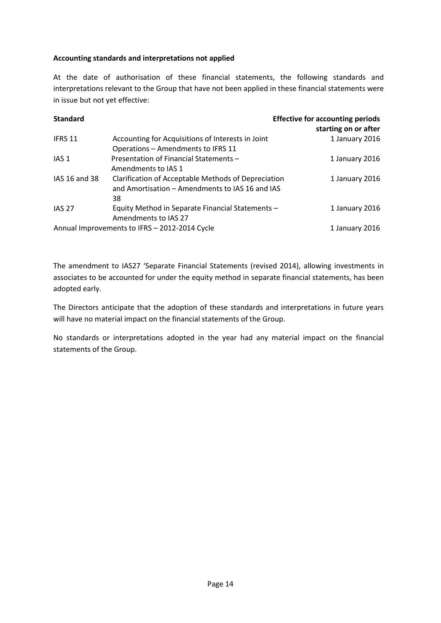## **Accounting standards and interpretations not applied**

At the date of authorisation of these financial statements, the following standards and interpretations relevant to the Group that have not been applied in these financial statements were in issue but not yet effective:

| <b>Standard</b> |                                                     | <b>Effective for accounting periods</b><br>starting on or after |
|-----------------|-----------------------------------------------------|-----------------------------------------------------------------|
| IFRS 11         | Accounting for Acquisitions of Interests in Joint   | 1 January 2016                                                  |
|                 | Operations - Amendments to IFRS 11                  |                                                                 |
| IAS 1           | Presentation of Financial Statements -              | 1 January 2016                                                  |
|                 | Amendments to IAS 1                                 |                                                                 |
| IAS 16 and 38   | Clarification of Acceptable Methods of Depreciation | 1 January 2016                                                  |
|                 | and Amortisation – Amendments to IAS 16 and IAS     |                                                                 |
|                 | 38                                                  |                                                                 |
| <b>IAS 27</b>   | Equity Method in Separate Financial Statements -    | 1 January 2016                                                  |
|                 | Amendments to IAS 27                                |                                                                 |
|                 | Annual Improvements to IFRS - 2012-2014 Cycle       | 1 January 2016                                                  |

The amendment to IAS27 'Separate Financial Statements (revised 2014), allowing investments in associates to be accounted for under the equity method in separate financial statements, has been adopted early.

The Directors anticipate that the adoption of these standards and interpretations in future years will have no material impact on the financial statements of the Group.

No standards or interpretations adopted in the year had any material impact on the financial statements of the Group.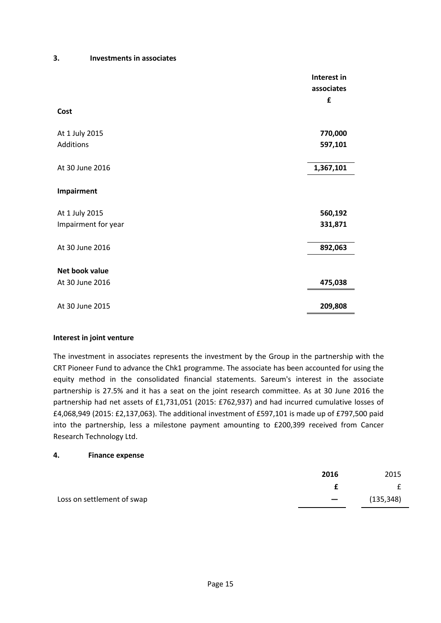#### **3. Investments in associates**

|                     | Interest in<br>associates<br>£ |
|---------------------|--------------------------------|
| Cost                |                                |
| At 1 July 2015      | 770,000                        |
| Additions           | 597,101                        |
| At 30 June 2016     | 1,367,101                      |
| Impairment          |                                |
| At 1 July 2015      | 560,192                        |
| Impairment for year | 331,871                        |
| At 30 June 2016     | 892,063                        |
| Net book value      |                                |
| At 30 June 2016     | 475,038                        |
| At 30 June 2015     | 209,808                        |

#### **Interest in joint venture**

The investment in associates represents the investment by the Group in the partnership with the CRT Pioneer Fund to advance the Chk1 programme. The associate has been accounted for using the equity method in the consolidated financial statements. Sareum's interest in the associate partnership is 27.5% and it has a seat on the joint research committee. As at 30 June 2016 the partnership had net assets of £1,731,051 (2015: £762,937) and had incurred cumulative losses of £4,068,949 (2015: £2,137,063). The additional investment of £597,101 is made up of £797,500 paid into the partnership, less a milestone payment amounting to £200,399 received from Cancer Research Technology Ltd.

#### **4. Finance expense**

|                            | 2016 | 2015       |
|----------------------------|------|------------|
|                            |      |            |
| Loss on settlement of swap |      | (135, 348) |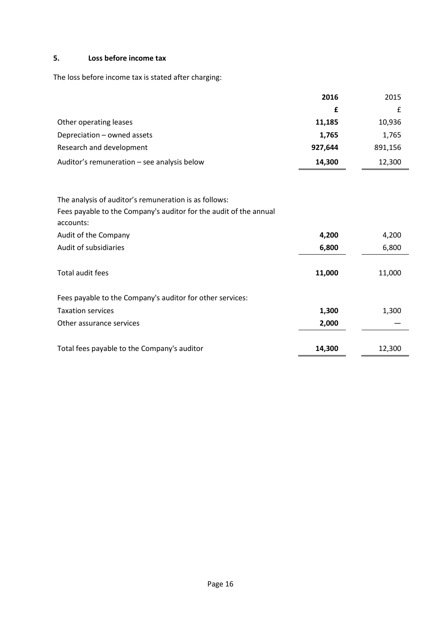# **5. Loss before income tax**

The loss before income tax is stated after charging:

|                                             | 2016    | 2015    |
|---------------------------------------------|---------|---------|
|                                             |         |         |
| Other operating leases                      | 11,185  | 10,936  |
| Depreciation - owned assets                 | 1,765   | 1,765   |
| Research and development                    | 927,644 | 891,156 |
| Auditor's remuneration - see analysis below | 14,300  | 12,300  |

| The analysis of auditor's remuneration is as follows:             |        |        |
|-------------------------------------------------------------------|--------|--------|
| Fees payable to the Company's auditor for the audit of the annual |        |        |
| accounts:                                                         |        |        |
| Audit of the Company                                              | 4,200  | 4,200  |
| Audit of subsidiaries                                             | 6,800  | 6,800  |
|                                                                   |        |        |
| Total audit fees                                                  | 11,000 | 11,000 |
| Fees payable to the Company's auditor for other services:         |        |        |
| <b>Taxation services</b>                                          | 1,300  | 1,300  |
| Other assurance services                                          | 2,000  |        |
|                                                                   |        |        |
| Total fees payable to the Company's auditor                       | 14,300 | 12,300 |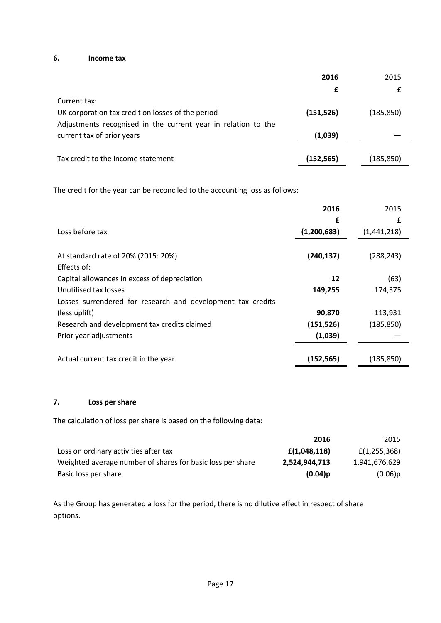## **6. Income tax**

|                                                               | 2016       | 2015       |
|---------------------------------------------------------------|------------|------------|
|                                                               | £          | £          |
| Current tax:                                                  |            |            |
| UK corporation tax credit on losses of the period             | (151, 526) | (185, 850) |
| Adjustments recognised in the current year in relation to the |            |            |
| current tax of prior years                                    | (1,039)    |            |
|                                                               |            |            |
| Tax credit to the income statement                            | (152, 565) | (185, 850) |
|                                                               |            |            |

The credit for the year can be reconciled to the accounting loss as follows:

|                                                             | 2016        | 2015        |
|-------------------------------------------------------------|-------------|-------------|
|                                                             | £           | £           |
| Loss before tax                                             | (1,200,683) | (1,441,218) |
|                                                             |             |             |
| At standard rate of 20% (2015: 20%)                         | (240, 137)  | (288, 243)  |
| Effects of:                                                 |             |             |
| Capital allowances in excess of depreciation                | 12          | (63)        |
| Unutilised tax losses                                       | 149,255     | 174,375     |
| Losses surrendered for research and development tax credits |             |             |
| (less uplift)                                               | 90,870      | 113,931     |
| Research and development tax credits claimed                | (151, 526)  | (185, 850)  |
| Prior year adjustments                                      | (1,039)     |             |
|                                                             |             |             |
| Actual current tax credit in the year                       | (152, 565)  | (185, 850)  |

## **7. Loss per share**

The calculation of loss per share is based on the following data:

|                                                            | 2016          | 2015          |
|------------------------------------------------------------|---------------|---------------|
| Loss on ordinary activities after tax                      | f(1,048,118)  | f(1,255,368)  |
| Weighted average number of shares for basic loss per share | 2,524,944,713 | 1,941,676,629 |
| Basic loss per share                                       | $(0.04)$ p    | (0.06)p       |

As the Group has generated a loss for the period, there is no dilutive effect in respect of share options.